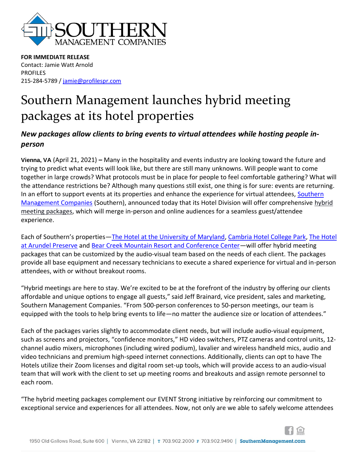

**FOR IMMEDIATE RELEASE** Contact: Jamie Watt Arnold PROFILES 215-284-5789 [/ jamie@profilespr.com](mailto:jamie@profilespr.com)

## Southern Management launches hybrid meeting packages at its hotel properties

## *New packages allow clients to bring events to virtual attendees while hosting people inperson*

**Vienna, VA** (April 21, 2021) **–** Many in the hospitality and events industry are looking toward the future and trying to predict what events will look like, but there are still many unknowns. Will people want to come together in large crowds? What protocols must be in place for people to feel comfortable gathering? What will the attendance restrictions be? Although many questions still exist, one thing is for sure: events are returning. In an effort to support events at its properties and enhance the experience for virtual attendees, Southern [Management Companies](https://www.southernmanagement.com/) (Southern), announced today that its Hotel Division will offer comprehensive hybrid meeting packages, which will merge in-person and online audiences for a seamless guest/attendee experience.

Each of Southern's properties—The [Hotel at the University of Maryland,](https://www.thehotelumd.com/) [Cambria Hotel College Park,](https://www.cambriacollegepark.com/en-us) The Hotel [at Arundel Preserve](https://www.thehotelarundel.com/) and [Bear Creek Mountain Resort and Conference Center](https://www.bcmountainresort.com/)—will offer hybrid meeting packages that can be customized by the audio-visual team based on the needs of each client. The packages provide all base equipment and necessary technicians to execute a shared experience for virtual and in-person attendees, with or without breakout rooms.

"Hybrid meetings are here to stay. We're excited to be at the forefront of the industry by offering our clients affordable and unique options to engage all guests," said Jeff Brainard, vice president, sales and marketing, Southern Management Companies. "From 500-person conferences to 50-person meetings, our team is equipped with the tools to help bring events to life—no matter the audience size or location of attendees."

Each of the packages varies slightly to accommodate client needs, but will include audio-visual equipment, such as screens and projectors, "confidence monitors," HD video switchers, PTZ cameras and control units, 12 channel audio mixers, microphones (including wired podium), lavalier and wireless handheld mics, audio and video technicians and premium high-speed internet connections. Additionally, clients can opt to have The Hotels utilize their Zoom licenses and digital room set-up tools, which will provide access to an audio-visual team that will work with the client to set up meeting rooms and breakouts and assign remote personnel to each room.

"The hybrid meeting packages complement our EVENT Strong initiative by reinforcing our commitment to exceptional service and experiences for all attendees. Now, not only are we able to safely welcome attendees